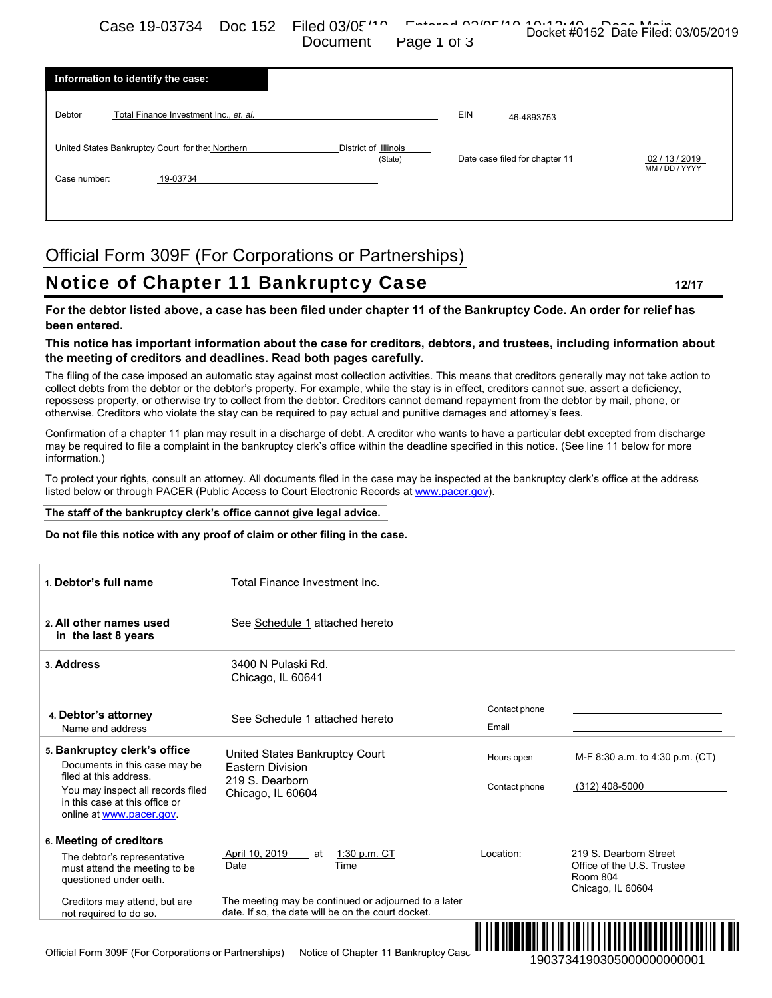Case 19-03734 Doc 152 Filed 03/05/10 Entered 03/05/10 Docket #0152 Date Filed: 03/05/2019 Document Page 1 of 3

| Information to identify the case:                |                                 |                                |                |
|--------------------------------------------------|---------------------------------|--------------------------------|----------------|
| Debtor<br>Total Finance Investment Inc., et. al. |                                 | EIN<br>46-4893753              |                |
| United States Bankruptcy Court for the: Northern | District of Illinois<br>(State) | Date case filed for chapter 11 | 02 / 13 / 2019 |
| 19-03734<br>Case number:                         |                                 |                                | MM / DD / YYYY |
|                                                  |                                 |                                |                |

# Official Form 309F (For Corporations or Partnerships)

# Notice of Chapter 11 Bankruptcy Case **12/17**

### **For the debtor listed above, a case has been filed under chapter 11 of the Bankruptcy Code. An order for relief has been entered.**

### **This notice has important information about the case for creditors, debtors, and trustees, including information about the meeting of creditors and deadlines. Read both pages carefully.**

#### **The staff of the bankruptcy clerk's office cannot give legal advice.**

#### **Do not file this notice with any proof of claim or other filing in the case.**

| Debtor<br>Total Finance Investment Inc., et. al.                                                                                                                          |                                                                                                                                                                                                                                                                                                                                                                                                            | EIN<br>46-4893753              |                                                                                       |
|---------------------------------------------------------------------------------------------------------------------------------------------------------------------------|------------------------------------------------------------------------------------------------------------------------------------------------------------------------------------------------------------------------------------------------------------------------------------------------------------------------------------------------------------------------------------------------------------|--------------------------------|---------------------------------------------------------------------------------------|
| United States Bankruptcy Court for the: Northern                                                                                                                          | District of Illinois<br>(State)                                                                                                                                                                                                                                                                                                                                                                            | Date case filed for chapter 11 | 02 / 13 / 2019<br>MM / DD / YYYY                                                      |
| Case number:<br>19-03734                                                                                                                                                  |                                                                                                                                                                                                                                                                                                                                                                                                            |                                |                                                                                       |
|                                                                                                                                                                           | Official Form 309F (For Corporations or Partnerships)                                                                                                                                                                                                                                                                                                                                                      |                                |                                                                                       |
|                                                                                                                                                                           | Notice of Chapter 11 Bankruptcy Case                                                                                                                                                                                                                                                                                                                                                                       |                                | 12/17                                                                                 |
|                                                                                                                                                                           | For the debtor listed above, a case has been filed under chapter 11 of the Bankruptcy Code. An order for relief has                                                                                                                                                                                                                                                                                        |                                |                                                                                       |
| been entered.                                                                                                                                                             | This notice has important information about the case for creditors, debtors, and trustees, including information about                                                                                                                                                                                                                                                                                     |                                |                                                                                       |
|                                                                                                                                                                           | the meeting of creditors and deadlines. Read both pages carefully.<br>The filing of the case imposed an automatic stay against most collection activities. This means that creditors generally may not take action to                                                                                                                                                                                      |                                |                                                                                       |
|                                                                                                                                                                           | collect debts from the debtor or the debtor's property. For example, while the stay is in effect, creditors cannot sue, assert a deficiency,<br>repossess property, or otherwise try to collect from the debtor. Creditors cannot demand repayment from the debtor by mail, phone, or<br>otherwise. Creditors who violate the stay can be required to pay actual and punitive damages and attorney's fees. |                                |                                                                                       |
|                                                                                                                                                                           | Confirmation of a chapter 11 plan may result in a discharge of debt. A creditor who wants to have a particular debt excepted from discharge                                                                                                                                                                                                                                                                |                                |                                                                                       |
|                                                                                                                                                                           | may be required to file a complaint in the bankruptcy clerk's office within the deadline specified in this notice. (See line 11 below for more                                                                                                                                                                                                                                                             |                                |                                                                                       |
|                                                                                                                                                                           | To protect your rights, consult an attorney. All documents filed in the case may be inspected at the bankruptcy clerk's office at the address<br>listed below or through PACER (Public Access to Court Electronic Records at www.pacer.gov).                                                                                                                                                               |                                |                                                                                       |
|                                                                                                                                                                           | The staff of the bankruptcy clerk's office cannot give legal advice.                                                                                                                                                                                                                                                                                                                                       |                                |                                                                                       |
|                                                                                                                                                                           | Do not file this notice with any proof of claim or other filing in the case.                                                                                                                                                                                                                                                                                                                               |                                |                                                                                       |
| information.)<br>1. Debtor's full name                                                                                                                                    | Total Finance Investment Inc.                                                                                                                                                                                                                                                                                                                                                                              |                                |                                                                                       |
| 2. All other names used<br>in the last 8 years                                                                                                                            | See Schedule 1 attached hereto                                                                                                                                                                                                                                                                                                                                                                             |                                |                                                                                       |
| 3. Address                                                                                                                                                                | 3400 N Pulaski Rd.<br>Chicago, IL 60641                                                                                                                                                                                                                                                                                                                                                                    |                                |                                                                                       |
|                                                                                                                                                                           |                                                                                                                                                                                                                                                                                                                                                                                                            | Contact phone                  |                                                                                       |
| Name and address                                                                                                                                                          | See Schedule 1 attached hereto                                                                                                                                                                                                                                                                                                                                                                             | Email                          |                                                                                       |
| Documents in this case may be                                                                                                                                             | United States Bankruptcy Court<br><b>Eastern Division</b>                                                                                                                                                                                                                                                                                                                                                  | Hours open                     | M-F 8:30 a.m. to 4:30 p.m. (CT)                                                       |
| filed at this address.<br>You may inspect all records filed<br>in this case at this office or<br>online at www.pacer.gov.                                                 | 219 S. Dearborn<br>Chicago, IL 60604                                                                                                                                                                                                                                                                                                                                                                       | Contact phone                  | (312) 408-5000                                                                        |
| 4. Debtor's attorney<br>5. Bankruptcy clerk's office<br>6. Meeting of creditors<br>The debtor's representative<br>must attend the meeting to be<br>questioned under oath. | April 10, 2019<br>1:30 p.m. $CT$<br>at<br>Time<br>Date                                                                                                                                                                                                                                                                                                                                                     | Location:                      | 219 S. Dearborn Street<br>Office of the U.S. Trustee<br>Room 804<br>Chicago, IL 60604 |

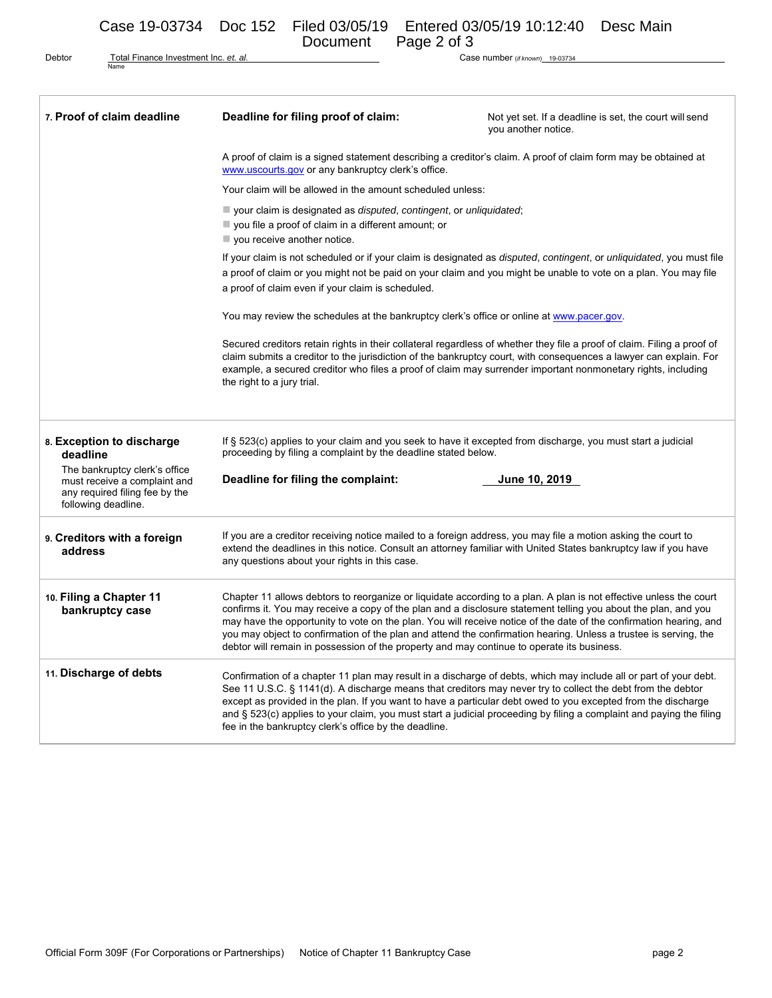Case 19-03734 Doc 152 Filed 03/05/19 Entered 03/05/19 10:12:40 Desc Main<br>Document Page 2 of 3 Page 2 of 3

Debtor Total Finance Investment Inc. *et. al.* Name

Case number (*if known*) 19-03734

| 7. Proof of claim deadline                                                                             | Deadline for filing proof of claim:                                                                                                                                                                                                                                                                                                                                                                                                                                                                                                                                          | Not yet set. If a deadline is set, the court will send<br>you another notice. |  |  |
|--------------------------------------------------------------------------------------------------------|------------------------------------------------------------------------------------------------------------------------------------------------------------------------------------------------------------------------------------------------------------------------------------------------------------------------------------------------------------------------------------------------------------------------------------------------------------------------------------------------------------------------------------------------------------------------------|-------------------------------------------------------------------------------|--|--|
|                                                                                                        | A proof of claim is a signed statement describing a creditor's claim. A proof of claim form may be obtained at<br>www.uscourts.gov or any bankruptcy clerk's office.                                                                                                                                                                                                                                                                                                                                                                                                         |                                                                               |  |  |
|                                                                                                        | Your claim will be allowed in the amount scheduled unless:                                                                                                                                                                                                                                                                                                                                                                                                                                                                                                                   |                                                                               |  |  |
|                                                                                                        | vour claim is designated as <i>disputed, contingent, or unliquidated</i> ;<br>$\blacksquare$ you file a proof of claim in a different amount; or<br>$\blacksquare$ you receive another notice.                                                                                                                                                                                                                                                                                                                                                                               |                                                                               |  |  |
|                                                                                                        | If your claim is not scheduled or if your claim is designated as <i>disputed, contingent,</i> or <i>unliquidated,</i> you must file<br>a proof of claim or you might not be paid on your claim and you might be unable to vote on a plan. You may file<br>a proof of claim even if your claim is scheduled.                                                                                                                                                                                                                                                                  |                                                                               |  |  |
|                                                                                                        | You may review the schedules at the bankruptcy clerk's office or online at www.pacer.gov.                                                                                                                                                                                                                                                                                                                                                                                                                                                                                    |                                                                               |  |  |
|                                                                                                        | Secured creditors retain rights in their collateral regardless of whether they file a proof of claim. Filing a proof of<br>claim submits a creditor to the jurisdiction of the bankruptcy court, with consequences a lawyer can explain. For<br>example, a secured creditor who files a proof of claim may surrender important nonmonetary rights, including<br>the right to a jury trial.                                                                                                                                                                                   |                                                                               |  |  |
| 8. Exception to discharge<br>deadline<br>The bankruptcy clerk's office<br>must receive a complaint and | If § 523(c) applies to your claim and you seek to have it excepted from discharge, you must start a judicial<br>proceeding by filing a complaint by the deadline stated below.<br>Deadline for filing the complaint:<br>June 10, 2019                                                                                                                                                                                                                                                                                                                                        |                                                                               |  |  |
| any required filing fee by the<br>following deadline.                                                  |                                                                                                                                                                                                                                                                                                                                                                                                                                                                                                                                                                              |                                                                               |  |  |
| 9. Creditors with a foreign<br>address                                                                 | If you are a creditor receiving notice mailed to a foreign address, you may file a motion asking the court to<br>extend the deadlines in this notice. Consult an attorney familiar with United States bankruptcy law if you have<br>any questions about your rights in this case.                                                                                                                                                                                                                                                                                            |                                                                               |  |  |
| 10. Filing a Chapter 11<br>bankruptcy case                                                             | Chapter 11 allows debtors to reorganize or liquidate according to a plan. A plan is not effective unless the court<br>confirms it. You may receive a copy of the plan and a disclosure statement telling you about the plan, and you<br>may have the opportunity to vote on the plan. You will receive notice of the date of the confirmation hearing, and<br>you may object to confirmation of the plan and attend the confirmation hearing. Unless a trustee is serving, the<br>debtor will remain in possession of the property and may continue to operate its business. |                                                                               |  |  |
| 11. Discharge of debts                                                                                 | Confirmation of a chapter 11 plan may result in a discharge of debts, which may include all or part of your debt.<br>See 11 U.S.C. § 1141(d). A discharge means that creditors may never try to collect the debt from the debtor<br>except as provided in the plan. If you want to have a particular debt owed to you excepted from the discharge<br>and § 523(c) applies to your claim, you must start a judicial proceeding by filing a complaint and paying the filing<br>fee in the bankruptcy clerk's office by the deadline.                                           |                                                                               |  |  |